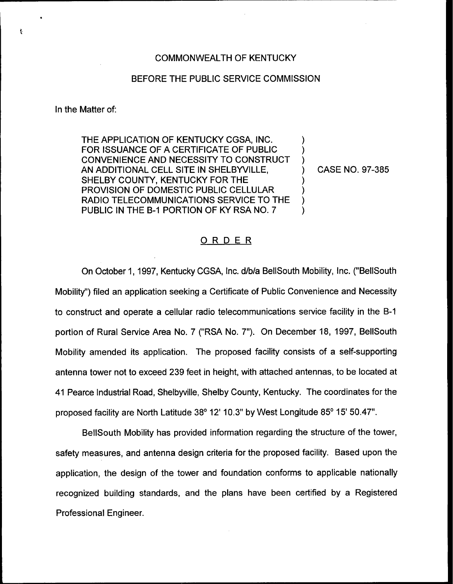## COMMONWEALTH OF KENTUCKY

## BEFORE THE PUBLIC SERVICE COMMISSION

In the Matter of:

ŧ

THE APPLICATION OF KENTUCKY CGSA, INC. FOR ISSUANCE OF A CERTIFICATE OF PUBLIC CONVENIENCE AND NECESSITY TO CONSTRUCT AN ADDITIONAL CELL SITE IN SHELBYVILLE, SHELBY COUNTY, KENTUCKY FOR THE PROVISION OF DOMESTIC PUBLIC CELLULAR RADIO TELECOMMUNICATIONS SERVICE TO THE PUBLIC IN THE B-1 PORTION OF KY RSA NO. 7

) CASE NO. 97-385

) ) )

) ) ) )

## ORDER

On October 1, 1997, Kentucky CGSA, Inc. d/b/a BellSouth Mobility, Inc. ("BellSouth Mobility") filed an application seeking a Certificate of Public Convenience and Necessit to construct and operate a cellular radio telecommunications service facility in the 8-1 portion of Rural Service Area No. 7 ("RSA No. 7"). On December 18, 1997, BellSouth Mobility amended its application. The proposed facility consists of a self-supporting antenna tower not to exceed 239 feet in height, with attached antennas, to be located at 41 Pearce Industrial Road, Shelbyville, Shelby County, Kentucky. The coordinates for the proposed facility are North Latitude 38° 12' 10.3" by West Longitude 85° 15' 50.47".

BellSouth Mobility has provided information regarding the structure of the tower, safety measures, and antenna design criteria for the proposed facility. Based upon the application, the design of the tower and foundation conforms to applicable nationally recognized building standards, and the plans have been certified by a Registered Professional Engineer.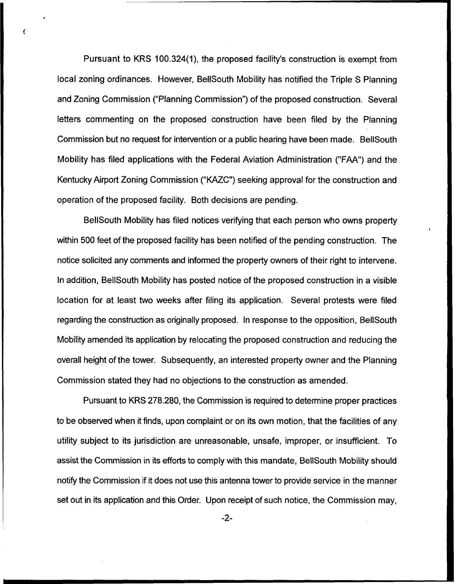Pursuant to KRS 100.324(1), the proposed facility's construction is exempt from local zoning ordinances. However, BellSouth Mobility has notified the Triple S Planning and Zoning Commission ("Planning Commission") of the proposed construction. Several letters commenting on the proposed construction have been filed by the Planning Commission but no request for intervention or a public hearing have been made. BellSouth Mobility has filed applications with the Federal Aviation Administration ("FAA") and the Kentucky Airport Zoning Commission ("KAZC") seeking approval for the construction and operation of the proposed facility. Both decisions are pending.

BellSouth Mobility has filed notices verifying that each person who owns property within 500 feet of the proposed facility has been notified of the pending construction. The notice solicited any comments and informed the property owners of their right to intervene. In addition, BellSouth Mobility has posted notice of the proposed construction in a visible location for at least two weeks after filing its application. Several protests were filed regarding the construction as originally proposed, In response to the opposition, BellSouth Mobility amended its application by relocating the proposed construction and reducing the overall height of the tower. Subsequently, an interested property owner and the Planning Commission stated they had no objections to the construction as amended,

Pursuant to KRS 278.280, the Commission is required to determine proper practices to be observed when it finds, upon complaint or on its own motion, that the facilities of any utility subject to its jurisdiction are unreasonable, unsafe, improper, or insufficient. To assist the Commission in its efforts to comply with this mandate, BellSouth Mobility should notify the Commission if it does not use this antenna tower to provide service in the manner set out in its application and this Order. Upon receipt of such notice, the Commission may,

-2-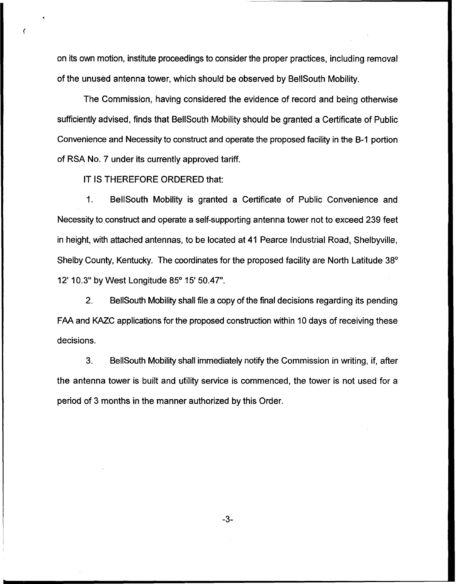on its own motion, institute proceedings to consider the proper practices, including removal of the unused antenna tower, which should be observed by BellSouth Mobility.

The Commission, having considered the evidence of record and being otherwise sufficiently advised, finds that BellSouth Mobility should be granted a Certificate of Public Convenience and Necessity to construct and operate the proposed facility in the B-1 portion of RSA No. 7 under its currently approved tariff.

IT IS THEREFORE ORDERED that:

1. BellSouth Mobility is granted a Certificate of Public Convenience and Necessity to construct and operate a self-supporting antenna tower not to exceed 239 feet in height, with attached antennas, to be located at 41 Pearce Industrial Road, Shelbyville, Shelby County, Kentucky. The coordinates for the proposed facility are North Latitude 38° 12' 10.3" by West Longitude 85° 15' 50.47".

2. BellSouth Mobility shall file a copy of the final decisions regarding its pending FAA and KAZC applications for the proposed construction within 10 days of receiving these decisions.

3. BellSouth Mobility shall immediately notify the Commission in writing, if, after the antenna tower is built and utility service is commenced, the tower is not used for a period of 3 months in the manner authorized by this Order.

-3-